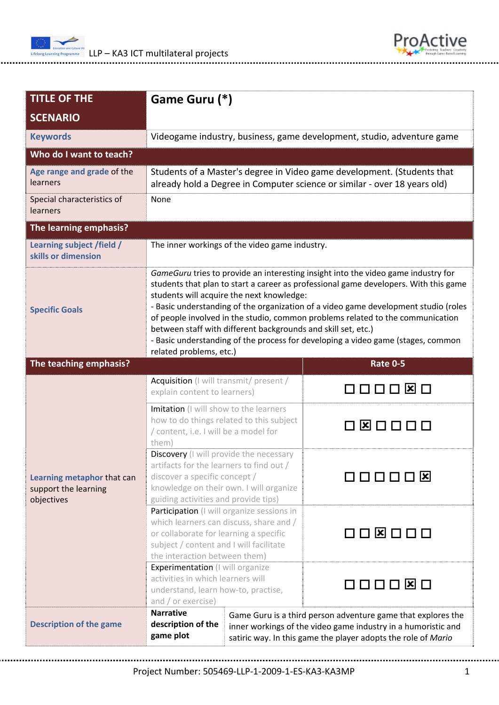



| <b>TITLE OF THE</b>                                              | Game Guru (*)                                                                                                                                                                                                                                                                                                                                                                                                                                                                                                                                                                   |                         |  |
|------------------------------------------------------------------|---------------------------------------------------------------------------------------------------------------------------------------------------------------------------------------------------------------------------------------------------------------------------------------------------------------------------------------------------------------------------------------------------------------------------------------------------------------------------------------------------------------------------------------------------------------------------------|-------------------------|--|
| <b>SCENARIO</b>                                                  |                                                                                                                                                                                                                                                                                                                                                                                                                                                                                                                                                                                 |                         |  |
| <b>Keywords</b>                                                  | Videogame industry, business, game development, studio, adventure game                                                                                                                                                                                                                                                                                                                                                                                                                                                                                                          |                         |  |
| Who do I want to teach?                                          |                                                                                                                                                                                                                                                                                                                                                                                                                                                                                                                                                                                 |                         |  |
| Age range and grade of the<br>learners                           | Students of a Master's degree in Video game development. (Students that<br>already hold a Degree in Computer science or similar - over 18 years old)                                                                                                                                                                                                                                                                                                                                                                                                                            |                         |  |
| Special characteristics of<br>learners                           | None                                                                                                                                                                                                                                                                                                                                                                                                                                                                                                                                                                            |                         |  |
| The learning emphasis?                                           |                                                                                                                                                                                                                                                                                                                                                                                                                                                                                                                                                                                 |                         |  |
| Learning subject /field /<br>skills or dimension                 | The inner workings of the video game industry.                                                                                                                                                                                                                                                                                                                                                                                                                                                                                                                                  |                         |  |
| <b>Specific Goals</b>                                            | GameGuru tries to provide an interesting insight into the video game industry for<br>students that plan to start a career as professional game developers. With this game<br>students will acquire the next knowledge:<br>- Basic understanding of the organization of a video game development studio (roles<br>of people involved in the studio, common problems related to the communication<br>between staff with different backgrounds and skill set, etc.)<br>- Basic understanding of the process for developing a video game (stages, common<br>related problems, etc.) |                         |  |
| The teaching emphasis?                                           |                                                                                                                                                                                                                                                                                                                                                                                                                                                                                                                                                                                 | <b>Rate 0-5</b>         |  |
| Learning metaphor that can<br>support the learning<br>objectives | Acquisition (I will transmit/ present /<br>explain content to learners)                                                                                                                                                                                                                                                                                                                                                                                                                                                                                                         | ⊠ □<br>nnn.             |  |
|                                                                  | Imitation (I will show to the learners<br>how to do things related to this subject<br>/ content, i.e. I will be a model for<br>them)                                                                                                                                                                                                                                                                                                                                                                                                                                            |                         |  |
|                                                                  | Discovery (I will provide the necessary<br>artifacts for the learners to find out /<br>discover a specific concept /<br>knowledge on their own. I will organize<br>guiding activities and provide tips)                                                                                                                                                                                                                                                                                                                                                                         | 3000<br>$\vert x \vert$ |  |
|                                                                  | Participation (I will organize sessions in<br>which learners can discuss, share and /<br>or collaborate for learning a specific<br>subject / content and I will facilitate<br>the interaction between them)                                                                                                                                                                                                                                                                                                                                                                     | 000000                  |  |
|                                                                  | Experimentation (I will organize<br>activities in which learners will<br>understand, learn how-to, practise,<br>and / or exercise)                                                                                                                                                                                                                                                                                                                                                                                                                                              | コロロロ <b>¤</b> ロ         |  |
| <b>Description of the game</b>                                   | <b>Narrative</b><br>Game Guru is a third person adventure game that explores the<br>description of the<br>inner workings of the video game industry in a humoristic and<br>game plot<br>satiric way. In this game the player adopts the role of Mario                                                                                                                                                                                                                                                                                                                           |                         |  |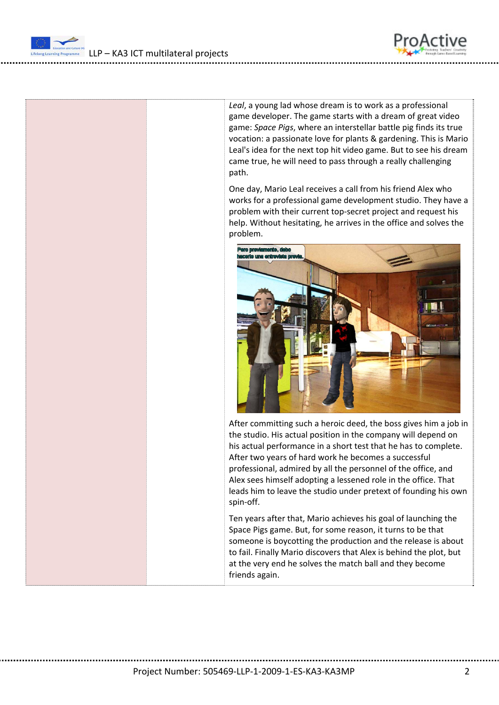LLP – KA3 ICT multilateral projects

*Leal*, a young lad whose dream is to work as a professional game developer. The game starts with a dream of great video game: *Space Pigs*, where an interstellar battle pig finds its true vocation: a passionate love for plants & gardening. This is Mario Leal's idea for the next top hit video game. But to see his dream came true, he will need to pass through a really challenging path.

ProActive

One day, Mario Leal receives a call from his friend Alex who works for a professional game development studio. They have a problem with their current top‐secret project and request his help. Without hesitating, he arrives in the office and solves the problem.



After committing such a heroic deed, the boss gives him a job in the studio. His actual position in the company will depend on his actual performance in a short test that he has to complete. After two years of hard work he becomes a successful professional, admired by all the personnel of the office, and Alex sees himself adopting a lessened role in the office. That leads him to leave the studio under pretext of founding his own spin‐off.

Ten years after that, Mario achieves his goal of launching the Space Pigs game. But, for some reason, it turns to be that someone is boycotting the production and the release is about to fail. Finally Mario discovers that Alex is behind the plot, but at the very end he solves the match ball and they become friends again.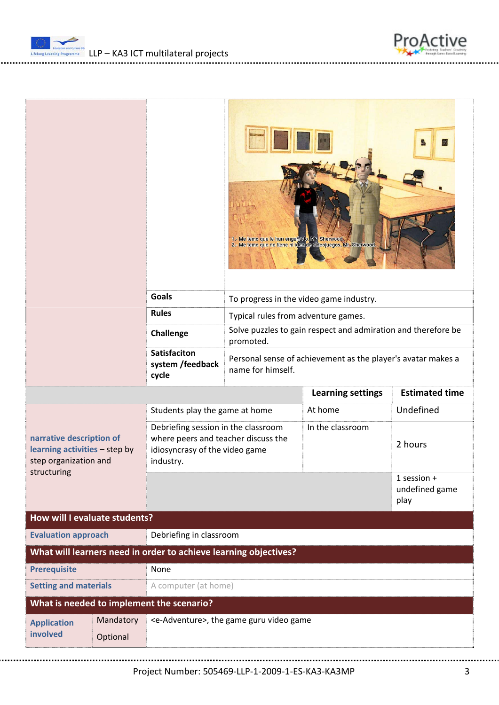



|                                                                                                   |           |                                                                                                                                       |                                                                            | 1.- Me temo que le han engañado, Mr. Sherwood.<br>2.- Me temo que no tiene ni idaa de videojuegos, Mr. Sherwood. |                                         |  |
|---------------------------------------------------------------------------------------------------|-----------|---------------------------------------------------------------------------------------------------------------------------------------|----------------------------------------------------------------------------|------------------------------------------------------------------------------------------------------------------|-----------------------------------------|--|
|                                                                                                   |           | <b>Goals</b>                                                                                                                          | To progress in the video game industry.                                    |                                                                                                                  |                                         |  |
|                                                                                                   |           | <b>Rules</b>                                                                                                                          | Typical rules from adventure games.                                        |                                                                                                                  |                                         |  |
|                                                                                                   |           | <b>Challenge</b>                                                                                                                      | Solve puzzles to gain respect and admiration and therefore be<br>promoted. |                                                                                                                  |                                         |  |
|                                                                                                   |           | <b>Satisfaciton</b><br>Personal sense of achievement as the player's avatar makes a<br>system /feedback<br>name for himself.<br>cycle |                                                                            |                                                                                                                  |                                         |  |
|                                                                                                   |           |                                                                                                                                       |                                                                            | <b>Learning settings</b>                                                                                         | <b>Estimated time</b>                   |  |
|                                                                                                   |           | At home<br>Students play the game at home                                                                                             |                                                                            |                                                                                                                  | Undefined                               |  |
| narrative description of<br>learning activities - step by<br>step organization and<br>structuring |           | Debriefing session in the classroom<br>where peers and teacher discuss the<br>idiosyncrasy of the video game<br>industry.             |                                                                            | In the classroom                                                                                                 | 2 hours                                 |  |
|                                                                                                   |           |                                                                                                                                       |                                                                            |                                                                                                                  | $1$ session +<br>undefined game<br>play |  |
| How will I evaluate students?                                                                     |           |                                                                                                                                       |                                                                            |                                                                                                                  |                                         |  |
| <b>Evaluation approach</b>                                                                        |           | Debriefing in classroom                                                                                                               |                                                                            |                                                                                                                  |                                         |  |
| What will learners need in order to achieve learning objectives?                                  |           |                                                                                                                                       |                                                                            |                                                                                                                  |                                         |  |
| <b>Prerequisite</b><br>None                                                                       |           |                                                                                                                                       |                                                                            |                                                                                                                  |                                         |  |
| <b>Setting and materials</b><br>A computer (at home)                                              |           |                                                                                                                                       |                                                                            |                                                                                                                  |                                         |  |
| What is needed to implement the scenario?                                                         |           |                                                                                                                                       |                                                                            |                                                                                                                  |                                         |  |
| <b>Application</b><br>involved                                                                    | Mandatory | <e-adventure>, the game guru video game</e-adventure>                                                                                 |                                                                            |                                                                                                                  |                                         |  |
|                                                                                                   | Optional  |                                                                                                                                       |                                                                            |                                                                                                                  |                                         |  |

Project Number: 505469‐LLP‐1‐2009‐1‐ES‐KA3‐KA3MP 3